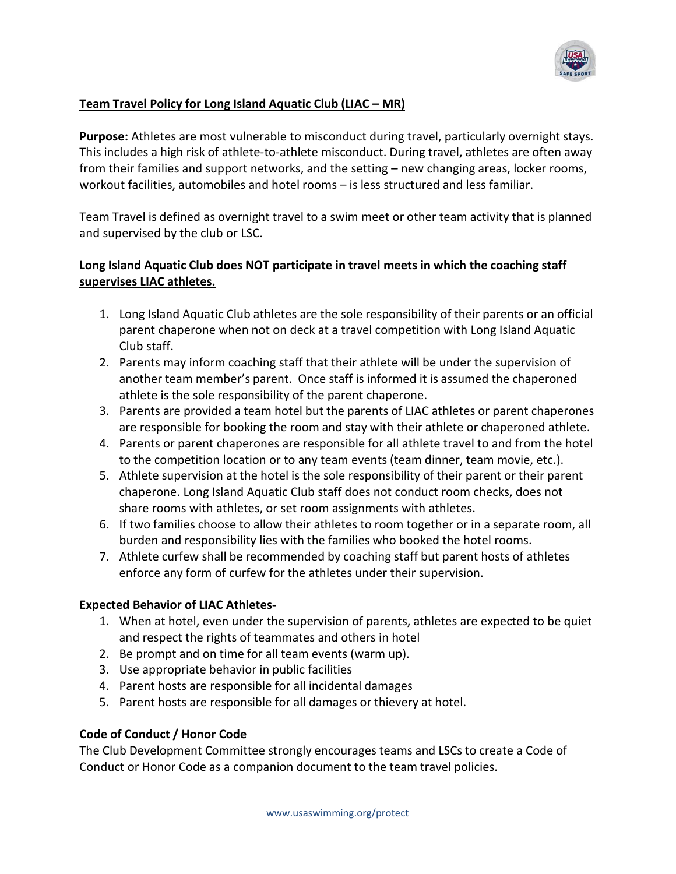

#### **Team Travel Policy for Long Island Aquatic Club (LIAC – MR)**

**Purpose:** Athletes are most vulnerable to misconduct during travel, particularly overnight stays. This includes a high risk of athlete-to-athlete misconduct. During travel, athletes are often away from their families and support networks, and the setting – new changing areas, locker rooms, workout facilities, automobiles and hotel rooms – is less structured and less familiar.

Team Travel is defined as overnight travel to a swim meet or other team activity that is planned and supervised by the club or LSC.

## **Long Island Aquatic Club does NOT participate in travel meets in which the coaching staff supervises LIAC athletes.**

- 1. Long Island Aquatic Club athletes are the sole responsibility of their parents or an official parent chaperone when not on deck at a travel competition with Long Island Aquatic Club staff.
- 2. Parents may inform coaching staff that their athlete will be under the supervision of another team member's parent. Once staff is informed it is assumed the chaperoned athlete is the sole responsibility of the parent chaperone.
- 3. Parents are provided a team hotel but the parents of LIAC athletes or parent chaperones are responsible for booking the room and stay with their athlete or chaperoned athlete.
- 4. Parents or parent chaperones are responsible for all athlete travel to and from the hotel to the competition location or to any team events (team dinner, team movie, etc.).
- 5. Athlete supervision at the hotel is the sole responsibility of their parent or their parent chaperone. Long Island Aquatic Club staff does not conduct room checks, does not share rooms with athletes, or set room assignments with athletes.
- 6. If two families choose to allow their athletes to room together or in a separate room, all burden and responsibility lies with the families who booked the hotel rooms.
- 7. Athlete curfew shall be recommended by coaching staff but parent hosts of athletes enforce any form of curfew for the athletes under their supervision.

#### **Expected Behavior of LIAC Athletes-**

- 1. When at hotel, even under the supervision of parents, athletes are expected to be quiet and respect the rights of teammates and others in hotel
- 2. Be prompt and on time for all team events (warm up).
- 3. Use appropriate behavior in public facilities
- 4. Parent hosts are responsible for all incidental damages
- 5. Parent hosts are responsible for all damages or thievery at hotel.

# **Code of Conduct / Honor Code**

The Club Development Committee strongly encourages teams and LSCs to create a Code of Conduct or Honor Code as a companion document to the team travel policies.